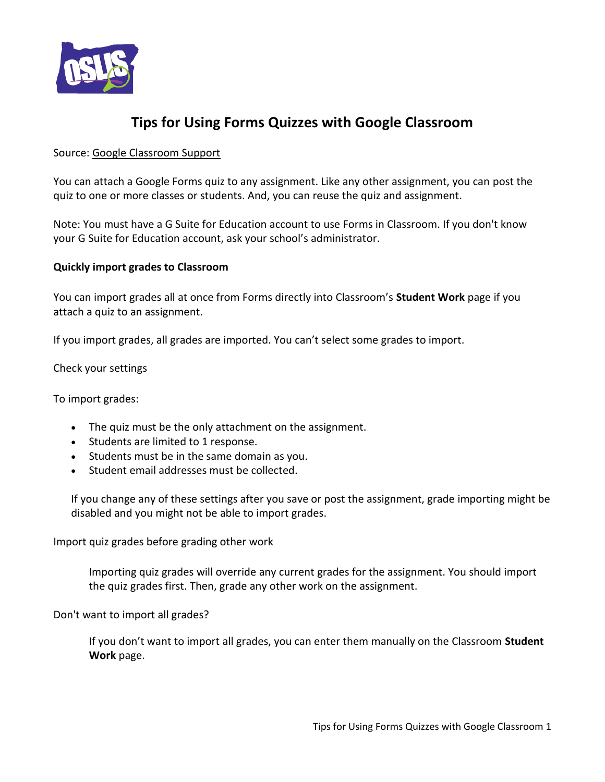

## **Tips for Using Forms Quizzes with Google Classroom**

## Source: [Google Classroom Support](https://support.google.com/edu/classroom/answer/7627459?hl=en)

You can attach a Google Forms quiz to any assignment. Like any other assignment, you can post the quiz to one or more classes or students. And, you can reuse the quiz and assignment.

Note: You must have a G Suite for Education account to use Forms in Classroom. If you don't know your G Suite for Education account, ask your school's administrator.

## **Quickly import grades to Classroom**

You can import grades all at once from Forms directly into Classroom's **Student Work** page if you attach a quiz to an assignment.

If you import grades, all grades are imported. You can't select some grades to import.

Check your settings

To import grades:

- The quiz must be the only attachment on the assignment.
- Students are limited to 1 response.
- Students must be in the same domain as you.
- Student email addresses must be collected.

If you change any of these settings after you save or post the assignment, grade importing might be disabled and you might not be able to import grades.

Import quiz grades before grading other work

Importing quiz grades will override any current grades for the assignment. You should import the quiz grades first. Then, grade any other work on the assignment.

Don't want to import all grades?

If you don't want to import all grades, you can enter them manually on the Classroom **Student Work** page.